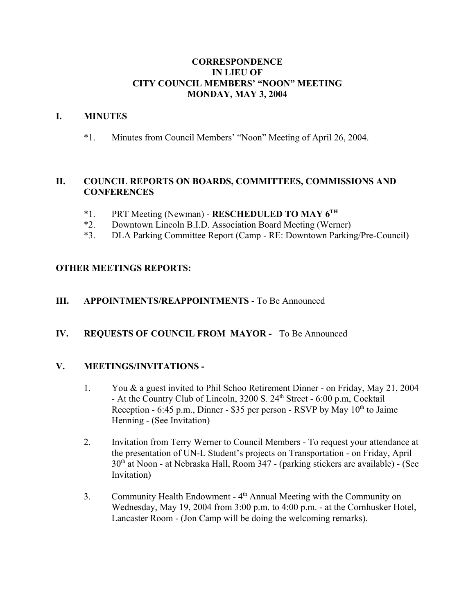### **CORRESPONDENCE IN LIEU OF CITY COUNCIL MEMBERS' "NOON" MEETING MONDAY, MAY 3, 2004**

### **I. MINUTES**

\*1. Minutes from Council Members' "Noon" Meeting of April 26, 2004.

# **II. COUNCIL REPORTS ON BOARDS, COMMITTEES, COMMISSIONS AND CONFERENCES**

- \*1. PRT Meeting (Newman) **RESCHEDULED TO MAY 6TH**
- \*2. Downtown Lincoln B.I.D. Association Board Meeting (Werner)
- \*3. DLA Parking Committee Report (Camp RE: Downtown Parking/Pre-Council)

# **OTHER MEETINGS REPORTS:**

### **III. APPOINTMENTS/REAPPOINTMENTS** - To Be Announced

# **IV. REQUESTS OF COUNCIL FROM MAYOR -** To Be Announced

#### **V. MEETINGS/INVITATIONS -**

- 1. You & a guest invited to Phil Schoo Retirement Dinner on Friday, May 21, 2004 - At the Country Club of Lincoln,  $3200$  S.  $24<sup>th</sup>$  Street - 6:00 p.m, Cocktail Reception - 6:45 p.m., Dinner - \$35 per person - RSVP by May  $10<sup>th</sup>$  to Jaime Henning - (See Invitation)
- 2. Invitation from Terry Werner to Council Members To request your attendance at the presentation of UN-L Student's projects on Transportation - on Friday, April  $30<sup>th</sup>$  at Noon - at Nebraska Hall, Room 347 - (parking stickers are available) - (See Invitation)
- 3. Community Health Endowment 4th Annual Meeting with the Community on Wednesday, May 19, 2004 from 3:00 p.m. to 4:00 p.m. - at the Cornhusker Hotel, Lancaster Room - (Jon Camp will be doing the welcoming remarks).